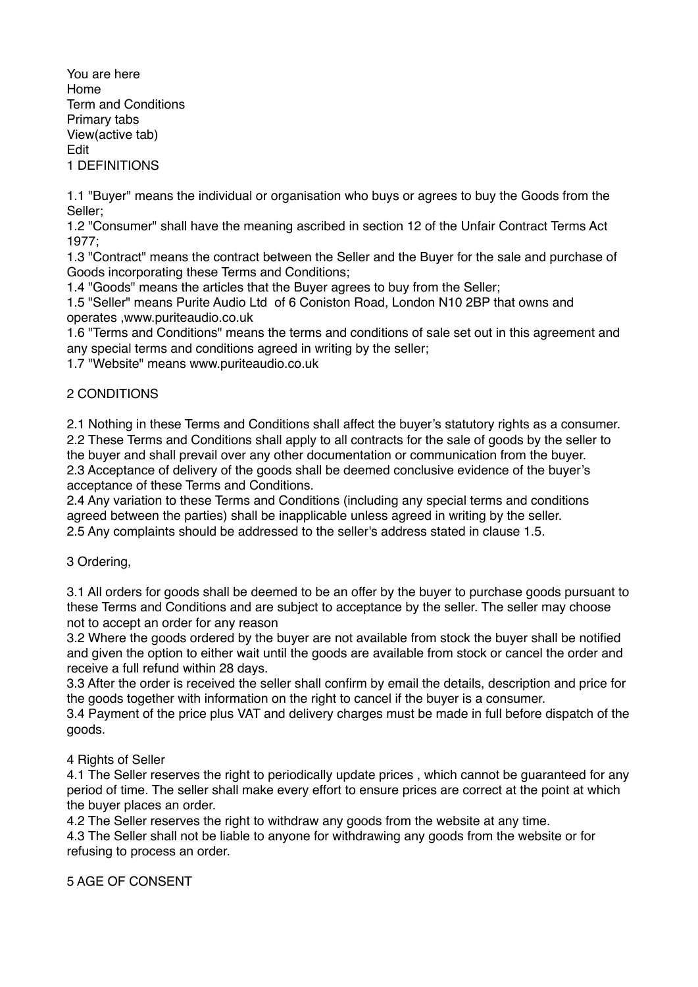You are here Home Term and Conditions Primary tabs View(active tab) Edit 1 DEFINITIONS

1.1 "Buyer" means the individual or organisation who buys or agrees to buy the Goods from the Seller;

1.2 "Consumer" shall have the meaning ascribed in section 12 of the Unfair Contract Terms Act 1977;

1.3 "Contract" means the contract between the Seller and the Buyer for the sale and purchase of Goods incorporating these Terms and Conditions;

1.4 "Goods" means the articles that the Buyer agrees to buy from the Seller;

1.5 "Seller" means Purite Audio Ltd of 6 Coniston Road, London N10 2BP that owns and operates ,www.puriteaudio.co.uk

1.6 "Terms and Conditions" means the terms and conditions of sale set out in this agreement and any special terms and conditions agreed in writing by the seller;

1.7 "Website" means www.puriteaudio.co.uk

# 2 CONDITIONS

2.1 Nothing in these Terms and Conditions shall affect the buyer's statutory rights as a consumer. 2.2 These Terms and Conditions shall apply to all contracts for the sale of goods by the seller to the buyer and shall prevail over any other documentation or communication from the buyer. 2.3 Acceptance of delivery of the goods shall be deemed conclusive evidence of the buyer's acceptance of these Terms and Conditions.

2.4 Any variation to these Terms and Conditions (including any special terms and conditions agreed between the parties) shall be inapplicable unless agreed in writing by the seller. 2.5 Any complaints should be addressed to the seller's address stated in clause 1.5.

3 Ordering,

3.1 All orders for goods shall be deemed to be an offer by the buyer to purchase goods pursuant to these Terms and Conditions and are subject to acceptance by the seller. The seller may choose not to accept an order for any reason

3.2 Where the goods ordered by the buyer are not available from stock the buyer shall be notified and given the option to either wait until the goods are available from stock or cancel the order and receive a full refund within 28 days.

3.3 After the order is received the seller shall confirm by email the details, description and price for the goods together with information on the right to cancel if the buyer is a consumer.

3.4 Payment of the price plus VAT and delivery charges must be made in full before dispatch of the goods.

## 4 Rights of Seller

4.1 The Seller reserves the right to periodically update prices , which cannot be guaranteed for any period of time. The seller shall make every effort to ensure prices are correct at the point at which the buyer places an order.

4.2 The Seller reserves the right to withdraw any goods from the website at any time.

4.3 The Seller shall not be liable to anyone for withdrawing any goods from the website or for refusing to process an order.

5 AGE OF CONSENT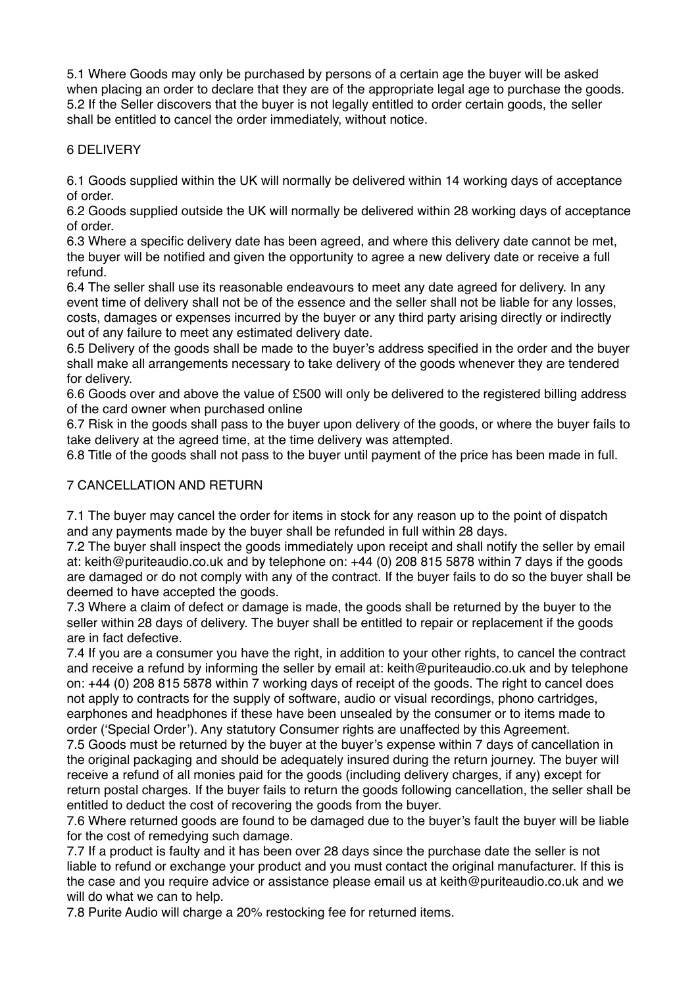5.1 Where Goods may only be purchased by persons of a certain age the buyer will be asked when placing an order to declare that they are of the appropriate legal age to purchase the goods. 5.2 If the Seller discovers that the buyer is not legally entitled to order certain goods, the seller shall be entitled to cancel the order immediately, without notice.

## 6 DELIVERY

6.1 Goods supplied within the UK will normally be delivered within 14 working days of acceptance of order.

6.2 Goods supplied outside the UK will normally be delivered within 28 working days of acceptance of order.

6.3 Where a specific delivery date has been agreed, and where this delivery date cannot be met, the buyer will be notified and given the opportunity to agree a new delivery date or receive a full refund.

6.4 The seller shall use its reasonable endeavours to meet any date agreed for delivery. In any event time of delivery shall not be of the essence and the seller shall not be liable for any losses, costs, damages or expenses incurred by the buyer or any third party arising directly or indirectly out of any failure to meet any estimated delivery date.

6.5 Delivery of the goods shall be made to the buyer's address specified in the order and the buyer shall make all arrangements necessary to take delivery of the goods whenever they are tendered for delivery.

6.6 Goods over and above the value of £500 will only be delivered to the registered billing address of the card owner when purchased online

6.7 Risk in the goods shall pass to the buyer upon delivery of the goods, or where the buyer fails to take delivery at the agreed time, at the time delivery was attempted.

6.8 Title of the goods shall not pass to the buyer until payment of the price has been made in full.

### 7 CANCELLATION AND RETURN

7.1 The buyer may cancel the order for items in stock for any reason up to the point of dispatch and any payments made by the buyer shall be refunded in full within 28 days.

7.2 The buyer shall inspect the goods immediately upon receipt and shall notify the seller by email at: keith@puriteaudio.co.uk and by telephone on: +44 (0) 208 815 5878 within 7 days if the goods are damaged or do not comply with any of the contract. If the buyer fails to do so the buyer shall be deemed to have accepted the goods.

7.3 Where a claim of defect or damage is made, the goods shall be returned by the buyer to the seller within 28 days of delivery. The buyer shall be entitled to repair or replacement if the goods are in fact defective.

7.4 If you are a consumer you have the right, in addition to your other rights, to cancel the contract and receive a refund by informing the seller by email at: keith@puriteaudio.co.uk and by telephone on: +44 (0) 208 815 5878 within 7 working days of receipt of the goods. The right to cancel does not apply to contracts for the supply of software, audio or visual recordings, phono cartridges, earphones and headphones if these have been unsealed by the consumer or to items made to order ('Special Order'). Any statutory Consumer rights are unaffected by this Agreement.

7.5 Goods must be returned by the buyer at the buyer's expense within 7 days of cancellation in the original packaging and should be adequately insured during the return journey. The buyer will receive a refund of all monies paid for the goods (including delivery charges, if any) except for return postal charges. If the buyer fails to return the goods following cancellation, the seller shall be entitled to deduct the cost of recovering the goods from the buyer.

7.6 Where returned goods are found to be damaged due to the buyer's fault the buyer will be liable for the cost of remedying such damage.

7.7 If a product is faulty and it has been over 28 days since the purchase date the seller is not liable to refund or exchange your product and you must contact the original manufacturer. If this is the case and you require advice or assistance please email us at keith@puriteaudio.co.uk and we will do what we can to help.

7.8 Purite Audio will charge a 20% restocking fee for returned items.